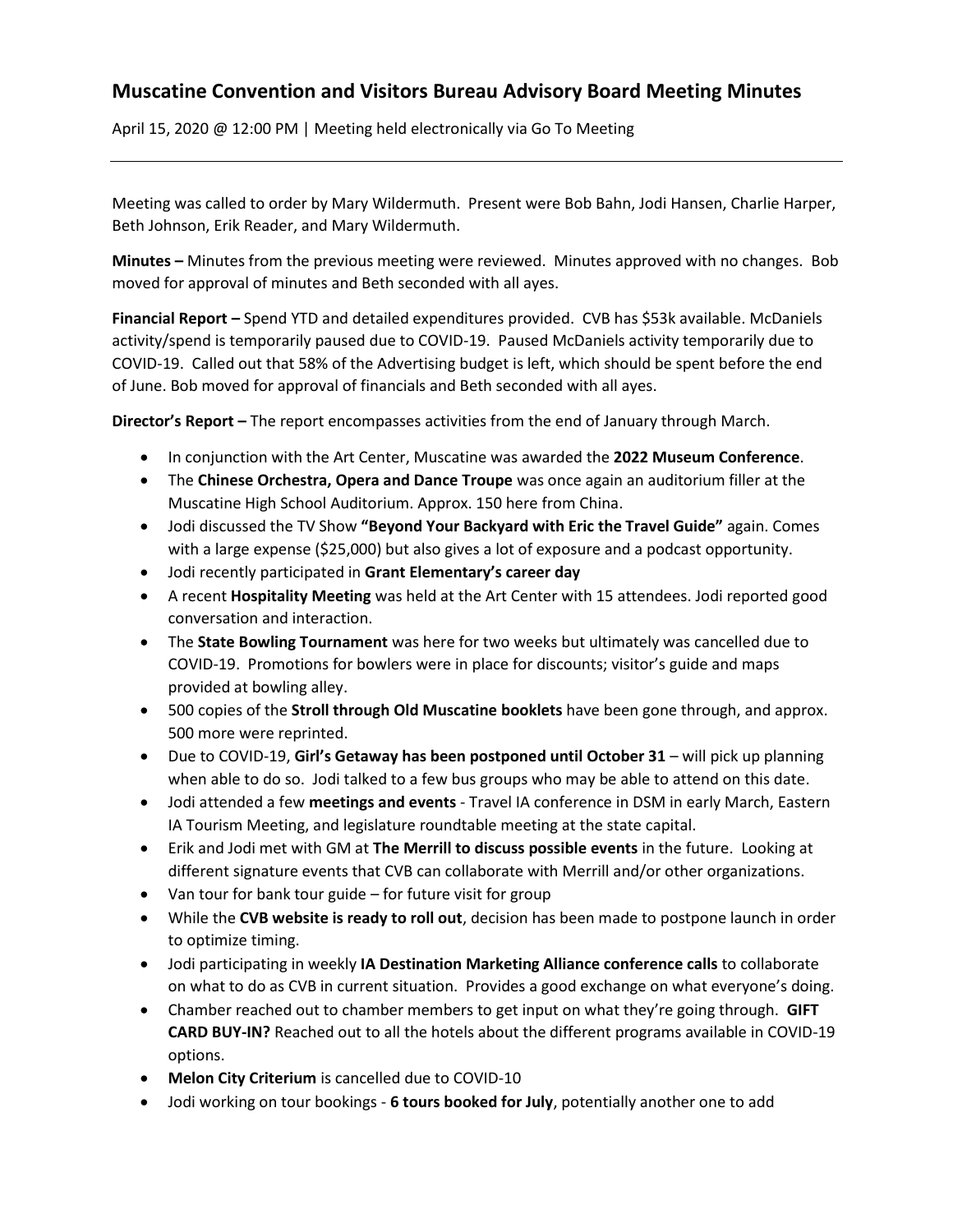## **Muscatine Convention and Visitors Bureau Advisory Board Meeting Minutes**

April 15, 2020 @ 12:00 PM | Meeting held electronically via Go To Meeting

Meeting was called to order by Mary Wildermuth. Present were Bob Bahn, Jodi Hansen, Charlie Harper, Beth Johnson, Erik Reader, and Mary Wildermuth.

**Minutes –** Minutes from the previous meeting were reviewed. Minutes approved with no changes. Bob moved for approval of minutes and Beth seconded with all ayes.

**Financial Report –** Spend YTD and detailed expenditures provided. CVB has \$53k available. McDaniels activity/spend is temporarily paused due to COVID-19. Paused McDaniels activity temporarily due to COVID-19. Called out that 58% of the Advertising budget is left, which should be spent before the end of June. Bob moved for approval of financials and Beth seconded with all ayes.

**Director's Report –** The report encompasses activities from the end of January through March.

- In conjunction with the Art Center, Muscatine was awarded the **2022 Museum Conference**.
- The **Chinese Orchestra, Opera and Dance Troupe** was once again an auditorium filler at the Muscatine High School Auditorium. Approx. 150 here from China.
- Jodi discussed the TV Show **"Beyond Your Backyard with Eric the Travel Guide"** again. Comes with a large expense (\$25,000) but also gives a lot of exposure and a podcast opportunity.
- Jodi recently participated in **Grant Elementary's career day**
- A recent **Hospitality Meeting** was held at the Art Center with 15 attendees. Jodi reported good conversation and interaction.
- The **State Bowling Tournament** was here for two weeks but ultimately was cancelled due to COVID-19. Promotions for bowlers were in place for discounts; visitor's guide and maps provided at bowling alley.
- 500 copies of the **Stroll through Old Muscatine booklets** have been gone through, and approx. 500 more were reprinted.
- Due to COVID-19, **Girl's Getaway has been postponed until October 31** will pick up planning when able to do so. Jodi talked to a few bus groups who may be able to attend on this date.
- Jodi attended a few **meetings and events** Travel IA conference in DSM in early March, Eastern IA Tourism Meeting, and legislature roundtable meeting at the state capital.
- Erik and Jodi met with GM at **The Merrill to discuss possible events** in the future. Looking at different signature events that CVB can collaborate with Merrill and/or other organizations.
- Van tour for bank tour guide for future visit for group
- While the **CVB website is ready to roll out**, decision has been made to postpone launch in order to optimize timing.
- Jodi participating in weekly **IA Destination Marketing Alliance conference calls** to collaborate on what to do as CVB in current situation. Provides a good exchange on what everyone's doing.
- Chamber reached out to chamber members to get input on what they're going through. **GIFT CARD BUY-IN?** Reached out to all the hotels about the different programs available in COVID-19 options.
- **Melon City Criterium** is cancelled due to COVID-10
- Jodi working on tour bookings **6 tours booked for July**, potentially another one to add